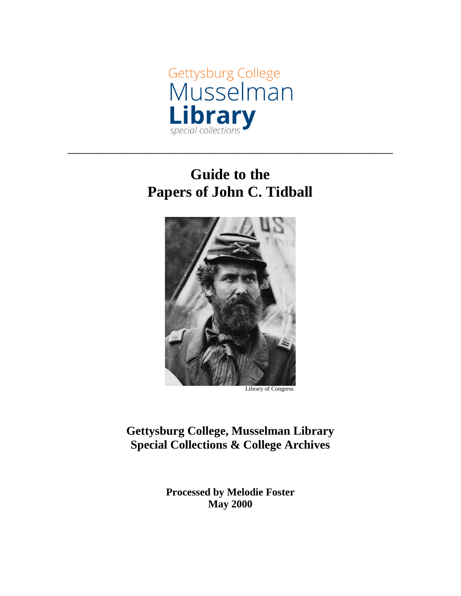

# **Guide to the Papers of John C. Tidball**

**\_\_\_\_\_\_\_\_\_\_\_\_\_\_\_\_\_\_\_\_\_\_\_\_\_\_\_\_\_\_\_\_\_\_\_\_\_\_\_\_\_\_\_\_\_\_\_\_\_\_\_\_\_\_\_\_\_\_\_\_\_\_\_\_\_\_\_\_\_\_\_\_**



Library of Congress

**Gettysburg College, Musselman Library Special Collections & College Archives**

> **Processed by Melodie Foster May 2000**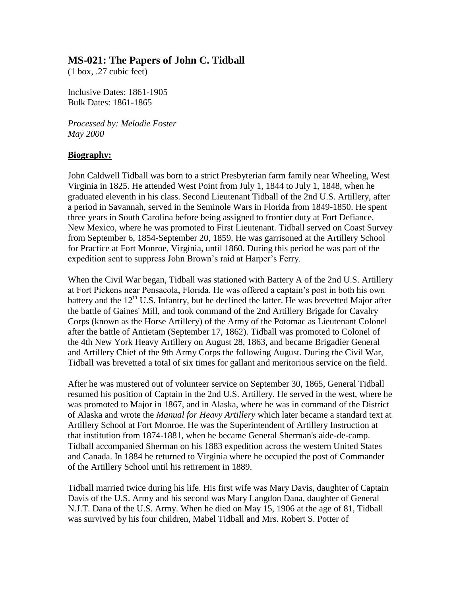## **MS-021: The Papers of John C. Tidball**

(1 box, .27 cubic feet)

Inclusive Dates: 1861-1905 Bulk Dates: 1861-1865

*Processed by: Melodie Foster May 2000*

#### **Biography:**

John Caldwell Tidball was born to a strict Presbyterian farm family near Wheeling, West Virginia in 1825. He attended West Point from July 1, 1844 to July 1, 1848, when he graduated eleventh in his class. Second Lieutenant Tidball of the 2nd U.S. Artillery, after a period in Savannah, served in the Seminole Wars in Florida from 1849-1850. He spent three years in South Carolina before being assigned to frontier duty at Fort Defiance, New Mexico, where he was promoted to First Lieutenant. Tidball served on Coast Survey from September 6, 1854-September 20, 1859. He was garrisoned at the Artillery School for Practice at Fort Monroe, Virginia, until 1860. During this period he was part of the expedition sent to suppress John Brown's raid at Harper's Ferry.

When the Civil War began, Tidball was stationed with Battery A of the 2nd U.S. Artillery at Fort Pickens near Pensacola, Florida. He was offered a captain's post in both his own battery and the  $12<sup>th</sup>$  U.S. Infantry, but he declined the latter. He was brevetted Major after the battle of Gaines' Mill, and took command of the 2nd Artillery Brigade for Cavalry Corps (known as the Horse Artillery) of the Army of the Potomac as Lieutenant Colonel after the battle of Antietam (September 17, 1862). Tidball was promoted to Colonel of the 4th New York Heavy Artillery on August 28, 1863, and became Brigadier General and Artillery Chief of the 9th Army Corps the following August. During the Civil War, Tidball was brevetted a total of six times for gallant and meritorious service on the field.

After he was mustered out of volunteer service on September 30, 1865, General Tidball resumed his position of Captain in the 2nd U.S. Artillery. He served in the west, where he was promoted to Major in 1867, and in Alaska, where he was in command of the District of Alaska and wrote the *Manual for Heavy Artillery* which later became a standard text at Artillery School at Fort Monroe. He was the Superintendent of Artillery Instruction at that institution from 1874-1881, when he became General Sherman's aide-de-camp. Tidball accompanied Sherman on his 1883 expedition across the western United States and Canada. In 1884 he returned to Virginia where he occupied the post of Commander of the Artillery School until his retirement in 1889.

Tidball married twice during his life. His first wife was Mary Davis, daughter of Captain Davis of the U.S. Army and his second was Mary Langdon Dana, daughter of General N.J.T. Dana of the U.S. Army. When he died on May 15, 1906 at the age of 81, Tidball was survived by his four children, Mabel Tidball and Mrs. Robert S. Potter of